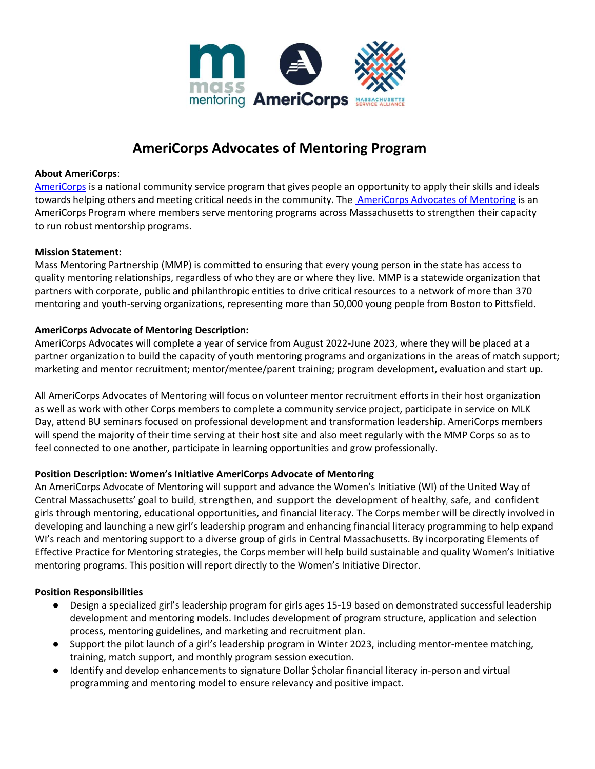

# **AmeriCorps Advocates of Mentoring Program**

#### **About AmeriCorps**:

[AmeriCorps](http://americorps.gov/) is a national community service program that gives people an opportunity to apply their skills and ideals towards helping others and meeting critical needs in the community. Th[e AmeriCorps Advocates](http://www.massmentors.org/ambassadors) [of Mentoring](http://www.massmentors.org/ambassadors) is an AmeriCorps Program where members serve mentoring programs across Massachusetts to strengthen their capacity to run robust mentorship programs.

### **Mission Statement:**

Mass Mentoring Partnership (MMP) is committed to ensuring that every young person in the state has access to quality mentoring relationships, regardless of who they are or where they live. MMP is a statewide organization that partners with corporate, public and philanthropic entities to drive critical resources to a network of more than 370 mentoring and youth-serving organizations, representing more than 50,000 young people from Boston to Pittsfield.

# **AmeriCorps Advocate of Mentoring Description:**

AmeriCorps Advocates will complete a year of service from August 2022-June 2023, where they will be placed at a partner organization to build the capacity of youth mentoring programs and organizations in the areas of match support; marketing and mentor recruitment; mentor/mentee/parent training; program development, evaluation and start up.

All AmeriCorps Advocates of Mentoring will focus on volunteer mentor recruitment efforts in their host organization as well as work with other Corps members to complete a community service project, participate in service on MLK Day, attend BU seminars focused on professional development and transformation leadership. AmeriCorps members will spend the majority of their time serving at their host site and also meet regularly with the MMP Corps so as to feel connected to one another, participate in learning opportunities and grow professionally.

# **Position Description: Women's Initiative AmeriCorps Advocate of Mentoring**

An AmeriCorps Advocate of Mentoring will support and advance the Women's Initiative (WI) of the United Way of Central Massachusetts' goal to build, strengthen, and support the development of healthy, safe, and confident girls through mentoring, educational opportunities, and financial literacy. The Corps member will be directly involved in developing and launching a new girl's leadership program and enhancing financial literacy programming to help expand WI's reach and mentoring support to a diverse group of girls in Central Massachusetts. By incorporating Elements of Effective Practice for Mentoring strategies, the Corps member will help build sustainable and quality Women's Initiative mentoring programs. This position will report directly to the Women's Initiative Director.

#### **Position Responsibilities**

- Design a specialized girl's leadership program for girls ages 15-19 based on demonstrated successful leadership development and mentoring models. Includes development of program structure, application and selection process, mentoring guidelines, and marketing and recruitment plan.
- Support the pilot launch of a girl's leadership program in Winter 2023, including mentor-mentee matching, training, match support, and monthly program session execution.
- Identify and develop enhancements to signature Dollar \$cholar financial literacy in-person and virtual programming and mentoring model to ensure relevancy and positive impact.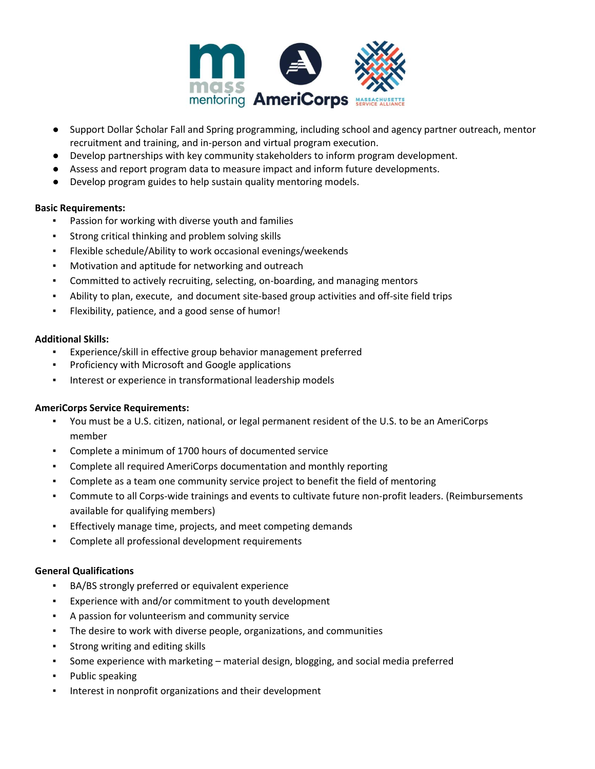

- Support Dollar \$cholar Fall and Spring programming, including school and agency partner outreach, mentor recruitment and training, and in-person and virtual program execution.
- Develop partnerships with key community stakeholders to inform program development.
- Assess and report program data to measure impact and inform future developments.
- Develop program guides to help sustain quality mentoring models.

### **Basic Requirements:**

- Passion for working with diverse youth and families
- Strong critical thinking and problem solving skills
- Flexible schedule/Ability to work occasional evenings/weekends
- Motivation and aptitude for networking and outreach
- Committed to actively recruiting, selecting, on-boarding, and managing mentors
- Ability to plan, execute, and document site-based group activities and off-site field trips
- Flexibility, patience, and a good sense of humor!

### **Additional Skills:**

- Experience/skill in effective group behavior management preferred
- Proficiency with Microsoft and Google applications
- Interest or experience in transformational leadership models

# **AmeriCorps Service Requirements:**

- You must be a U.S. citizen, national, or legal permanent resident of the U.S. to be an AmeriCorps member
- Complete a minimum of 1700 hours of documented service
- Complete all required AmeriCorps documentation and monthly reporting
- Complete as a team one community service project to benefit the field of mentoring
- Commute to all Corps-wide trainings and events to cultivate future non-profit leaders. (Reimbursements available for qualifying members)
- Effectively manage time, projects, and meet competing demands
- Complete all professional development requirements

# **General Qualifications**

- BA/BS strongly preferred or equivalent experience
- Experience with and/or commitment to youth development
- A passion for volunteerism and community service
- The desire to work with diverse people, organizations, and communities
- Strong writing and editing skills
- Some experience with marketing material design, blogging, and social media preferred
- Public speaking
- Interest in nonprofit organizations and their development